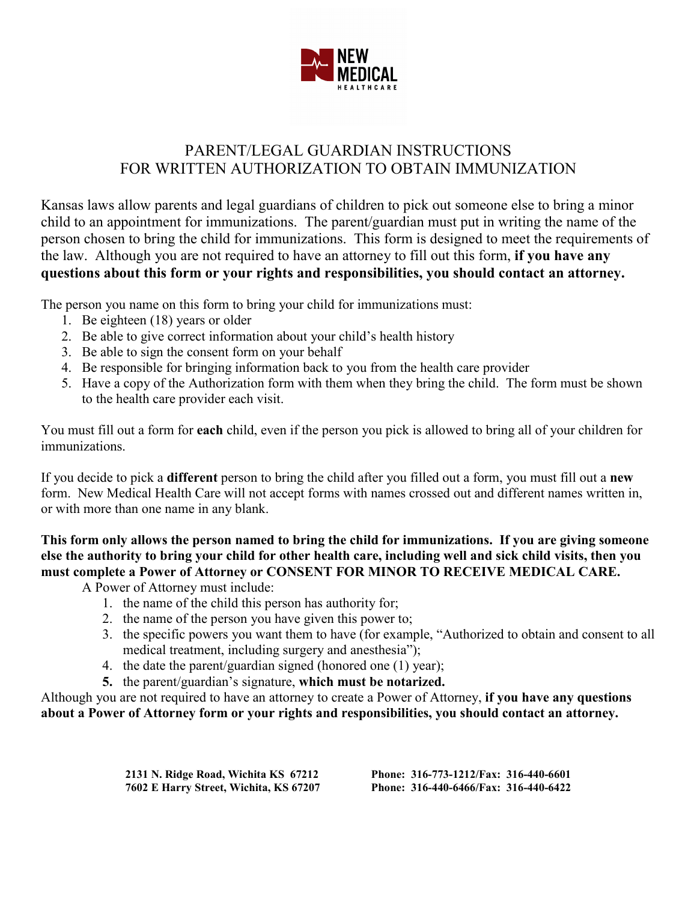

## PARENT/LEGAL GUARDIAN INSTRUCTIONS FOR WRITTEN AUTHORIZATION TO OBTAIN IMMUNIZATION

Kansas laws allow parents and legal guardians of children to pick out someone else to bring a minor child to an appointment for immunizations. The parent/guardian must put in writing the name of the person chosen to bring the child for immunizations. This form is designed to meet the requirements of the law. Although you are not required to have an attorney to fill out this form, **if you have any questions about this form or your rights and responsibilities, you should contact an attorney.**

The person you name on this form to bring your child for immunizations must:

- 1. Be eighteen (18) years or older
- 2. Be able to give correct information about your child's health history
- 3. Be able to sign the consent form on your behalf
- 4. Be responsible for bringing information back to you from the health care provider
- 5. Have a copy of the Authorization form with them when they bring the child. The form must be shown to the health care provider each visit.

You must fill out a form for **each** child, even if the person you pick is allowed to bring all of your children for immunizations.

If you decide to pick a **different** person to bring the child after you filled out a form, you must fill out a **new** form. New Medical Health Care will not accept forms with names crossed out and different names written in, or with more than one name in any blank.

**This form only allows the person named to bring the child for immunizations. If you are giving someone else the authority to bring your child for other health care, including well and sick child visits, then you must complete a Power of Attorney or CONSENT FOR MINOR TO RECEIVE MEDICAL CARE.**

A Power of Attorney must include:

- 1. the name of the child this person has authority for;
- 2. the name of the person you have given this power to;
- 3. the specific powers you want them to have (for example, "Authorized to obtain and consent to all medical treatment, including surgery and anesthesia");
- 4. the date the parent/guardian signed (honored one (1) year);
- **5.** the parent/guardian's signature, **which must be notarized.**

Although you are not required to have an attorney to create a Power of Attorney, **if you have any questions about a Power of Attorney form or your rights and responsibilities, you should contact an attorney.**

**7602 E Harry Street, Wichita, KS 67207 Phone: 316-440-6466/Fax: 316-440-6422**

**2131 N. Ridge Road, Wichita KS 67212 Phone: 316-773-1212/Fax: 316-440-6601**